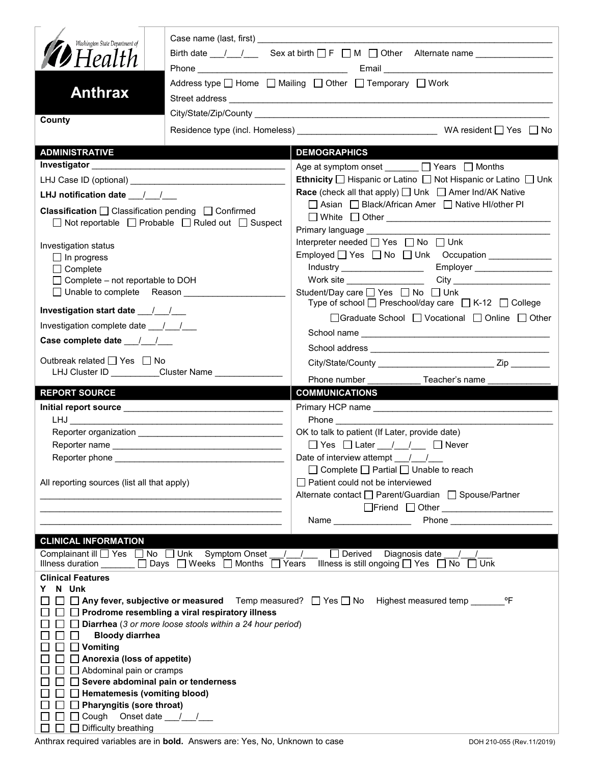| Washington State Department of<br><b>D</b> Health<br><b>Anthrax</b>                                                                                                 | Birth date $\frac{1}{\sqrt{2}}$ Sex at birth $\Box$ F $\Box$ M $\Box$ Other Alternate name $\Box$<br>Address type $\Box$ Home $\Box$ Mailing $\Box$ Other $\Box$ Temporary $\Box$ Work |                                                                                                                                                                                                                                                         |  |
|---------------------------------------------------------------------------------------------------------------------------------------------------------------------|----------------------------------------------------------------------------------------------------------------------------------------------------------------------------------------|---------------------------------------------------------------------------------------------------------------------------------------------------------------------------------------------------------------------------------------------------------|--|
| County                                                                                                                                                              |                                                                                                                                                                                        |                                                                                                                                                                                                                                                         |  |
|                                                                                                                                                                     |                                                                                                                                                                                        |                                                                                                                                                                                                                                                         |  |
| <b>ADMINISTRATIVE</b>                                                                                                                                               |                                                                                                                                                                                        | <b>DEMOGRAPHICS</b>                                                                                                                                                                                                                                     |  |
| Investigator                                                                                                                                                        |                                                                                                                                                                                        | Age at symptom onset ______ □ Years □ Months                                                                                                                                                                                                            |  |
|                                                                                                                                                                     |                                                                                                                                                                                        | <b>Ethnicity</b> $\Box$ Hispanic or Latino $\Box$ Not Hispanic or Latino $\Box$ Unk<br><b>Race</b> (check all that apply) $\Box$ Unk $\Box$ Amer Ind/AK Native                                                                                          |  |
| LHJ notification date $\frac{1}{2}$<br>Classification □ Classification pending □ Confirmed<br>$\Box$ Not reportable $\Box$ Probable $\Box$ Ruled out $\Box$ Suspect |                                                                                                                                                                                        | □ Asian □ Black/African Amer □ Native HI/other PI<br>□ White □ Other <u>___________________________________</u>                                                                                                                                         |  |
| Investigation status<br>$\Box$ In progress<br>$\Box$ Complete<br>$\Box$ Complete – not reportable to DOH<br>$\Box$ Unable to complete Reason                        |                                                                                                                                                                                        | Primary language <b>Example 20</b><br>Interpreter needed [ Yes   No   Unk<br>Employed   Yes   No   Unk Occupation   _____________<br>Student/Day care □ Yes □ No □ Unk                                                                                  |  |
| Investigation start date ____/____/                                                                                                                                 |                                                                                                                                                                                        | Type of school $\Box$ Preschool/day care $\Box$ K-12 $\Box$ College                                                                                                                                                                                     |  |
| Investigation complete date ___/___/___                                                                                                                             |                                                                                                                                                                                        | □Graduate School □ Vocational □ Online □ Other                                                                                                                                                                                                          |  |
| Case complete date __/_/__/                                                                                                                                         |                                                                                                                                                                                        |                                                                                                                                                                                                                                                         |  |
| Outbreak related □ Yes □ No<br>LHJ Cluster ID _________Cluster Name ______________                                                                                  |                                                                                                                                                                                        |                                                                                                                                                                                                                                                         |  |
|                                                                                                                                                                     |                                                                                                                                                                                        | Phone number<br>Teacher's name                                                                                                                                                                                                                          |  |
| <b>REPORT SOURCE</b>                                                                                                                                                |                                                                                                                                                                                        | <b>COMMUNICATIONS</b>                                                                                                                                                                                                                                   |  |
|                                                                                                                                                                     |                                                                                                                                                                                        |                                                                                                                                                                                                                                                         |  |
|                                                                                                                                                                     |                                                                                                                                                                                        | OK to talk to patient (If Later, provide date)                                                                                                                                                                                                          |  |
|                                                                                                                                                                     |                                                                                                                                                                                        | $\Box$ Yes $\Box$ Later $\Box$ / $\Box$ Never                                                                                                                                                                                                           |  |
|                                                                                                                                                                     |                                                                                                                                                                                        | Date of interview attempt $\frac{1}{\sqrt{2}}$                                                                                                                                                                                                          |  |
| All reporting sources (list all that apply)                                                                                                                         |                                                                                                                                                                                        | $\Box$ Complete $\Box$ Partial $\Box$ Unable to reach<br>$\Box$ Patient could not be interviewed                                                                                                                                                        |  |
|                                                                                                                                                                     |                                                                                                                                                                                        | Alternate contact □ Parent/Guardian □ Spouse/Partner                                                                                                                                                                                                    |  |
|                                                                                                                                                                     |                                                                                                                                                                                        |                                                                                                                                                                                                                                                         |  |
|                                                                                                                                                                     |                                                                                                                                                                                        | Phone and the contract of the contract of the contract of the contract of the contract of the contract of the contract of the contract of the contract of the contract of the contract of the contract of the contract of the<br>Name _________________ |  |
| <b>CLINICAL INFORMATION</b>                                                                                                                                         |                                                                                                                                                                                        |                                                                                                                                                                                                                                                         |  |
| Complainant ill $\Box$ Yes $\Box$ No $\Box$ Unk                                                                                                                     | <b>Symptom Onset</b>                                                                                                                                                                   | $\Box$ Derived<br>Diagnosis date<br>$\sqrt{ }$                                                                                                                                                                                                          |  |
| Illness duration _                                                                                                                                                  | $\Box$ Days $\Box$ Weeks $\Box$ Months $\Box$ Years                                                                                                                                    | Illness is still ongoing $\Box$ Yes $\Box$ No<br>$\Box$ Unk                                                                                                                                                                                             |  |
| <b>Clinical Features</b><br>N Unk                                                                                                                                   |                                                                                                                                                                                        |                                                                                                                                                                                                                                                         |  |
| Y.<br>$\Box$ Any fever, subjective or measured Temp measured? $\Box$ Yes $\Box$ No<br>℃F<br>Highest measured temp                                                   |                                                                                                                                                                                        |                                                                                                                                                                                                                                                         |  |
| Prodrome resembling a viral respiratory illness                                                                                                                     |                                                                                                                                                                                        |                                                                                                                                                                                                                                                         |  |
| Diarrhea (3 or more loose stools within a 24 hour period)                                                                                                           |                                                                                                                                                                                        |                                                                                                                                                                                                                                                         |  |
| <b>Bloody diarrhea</b><br>Vomiting<br>$\blacksquare$                                                                                                                |                                                                                                                                                                                        |                                                                                                                                                                                                                                                         |  |
| Anorexia (loss of appetite)                                                                                                                                         |                                                                                                                                                                                        |                                                                                                                                                                                                                                                         |  |
| Abdominal pain or cramps                                                                                                                                            |                                                                                                                                                                                        |                                                                                                                                                                                                                                                         |  |
| Severe abdominal pain or tenderness                                                                                                                                 |                                                                                                                                                                                        |                                                                                                                                                                                                                                                         |  |
| Hematemesis (vomiting blood)                                                                                                                                        |                                                                                                                                                                                        |                                                                                                                                                                                                                                                         |  |
| <b>Pharyngitis (sore throat)</b><br>Cough<br>Onset date $\frac{1}{1}$                                                                                               |                                                                                                                                                                                        |                                                                                                                                                                                                                                                         |  |
| Difficulty breathing                                                                                                                                                |                                                                                                                                                                                        |                                                                                                                                                                                                                                                         |  |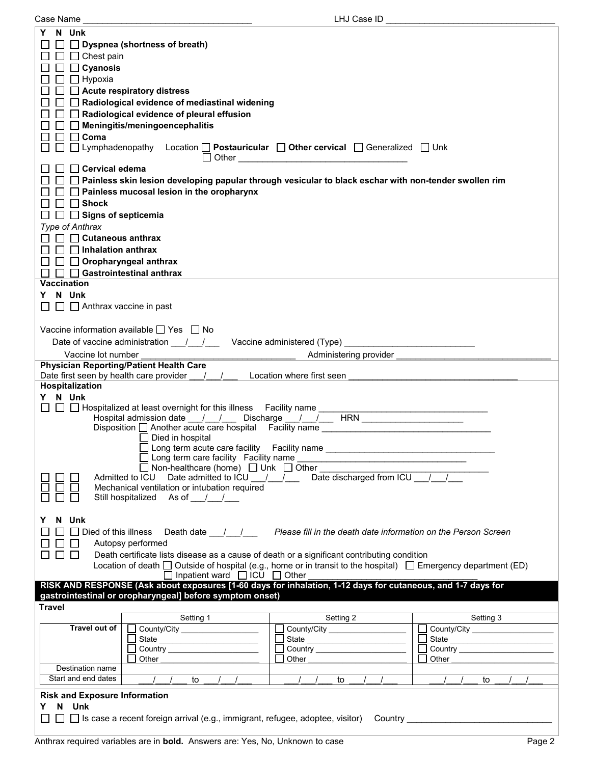| LHJ Case ID<br>Case Name                                                                                                                                                                                                                                                                                                                                                                                                                                                                                                                                                                                                                                                                                                                                                                                                                                                                                                                                                             |  |  |  |
|--------------------------------------------------------------------------------------------------------------------------------------------------------------------------------------------------------------------------------------------------------------------------------------------------------------------------------------------------------------------------------------------------------------------------------------------------------------------------------------------------------------------------------------------------------------------------------------------------------------------------------------------------------------------------------------------------------------------------------------------------------------------------------------------------------------------------------------------------------------------------------------------------------------------------------------------------------------------------------------|--|--|--|
| N Unk<br>Y.<br>$\Box$ Dyspnea (shortness of breath)<br>$\Box$ $\Box$ Chest pain<br>$\Box$ Cyanosis<br>$\Box$ $\Box$ Hypoxia                                                                                                                                                                                                                                                                                                                                                                                                                                                                                                                                                                                                                                                                                                                                                                                                                                                          |  |  |  |
| $\Box$ $\Box$ Acute respiratory distress<br>$\Box$ Radiological evidence of mediastinal widening<br>$\Box$ Radiological evidence of pleural effusion<br>$\Box$ Meningitis/meningoencephalitis                                                                                                                                                                                                                                                                                                                                                                                                                                                                                                                                                                                                                                                                                                                                                                                        |  |  |  |
| $\Box$ $\Box$ Coma<br>$\Box$ Lymphadenopathy Location $\Box$ Postauricular $\Box$ Other cervical $\Box$ Generalized $\Box$ Unk                                                                                                                                                                                                                                                                                                                                                                                                                                                                                                                                                                                                                                                                                                                                                                                                                                                       |  |  |  |
| □ Cervical edema<br>□ □ Painless skin lesion developing papular through vesicular to black eschar with non-tender swollen rim<br>$\Box$ Painless mucosal lesion in the oropharynx<br>$\Box$ $\Box$ Shock<br>$\Box$ Signs of septicemia                                                                                                                                                                                                                                                                                                                                                                                                                                                                                                                                                                                                                                                                                                                                               |  |  |  |
| <b>Type of Anthrax</b><br>$\Box$ Cutaneous anthrax<br>$\Box$ Inhalation anthrax<br>$\Box$ Oropharyngeal anthrax<br>$\Box$ Gastrointestinal anthrax<br><b>Vaccination</b>                                                                                                                                                                                                                                                                                                                                                                                                                                                                                                                                                                                                                                                                                                                                                                                                             |  |  |  |
| N Unk<br>Y.<br>$\Box$ Anthrax vaccine in past                                                                                                                                                                                                                                                                                                                                                                                                                                                                                                                                                                                                                                                                                                                                                                                                                                                                                                                                        |  |  |  |
| Vaccine information available $\Box$ Yes $\Box$ No<br>Vaccine lot number                                                                                                                                                                                                                                                                                                                                                                                                                                                                                                                                                                                                                                                                                                                                                                                                                                                                                                             |  |  |  |
| <b>Physician Reporting/Patient Health Care</b><br>Date first seen by health care provider / /<br>Location where first seen<br>Hospitalization                                                                                                                                                                                                                                                                                                                                                                                                                                                                                                                                                                                                                                                                                                                                                                                                                                        |  |  |  |
| Y N Unk<br>□ D Hospitalized at least overnight for this illness Facility name __<br>$\mathbb{R}^n$<br>Hospital admission date __/__/___ Discharge __/__/___ HRN _____________________<br>Disposition □ Another acute care hospital Facility name ________________________<br>$\Box$ Died in hospital<br>□ Long term acute care facility Facility name<br>$\Box$ Long term care facility Facility name<br>□ Non-healthcare (home) □ Unk □ Other                                                                                                                                                                                                                                                                                                                                                                                                                                                                                                                                       |  |  |  |
| Admitted to ICU Date admitted to ICU /// Date discharged from ICU //<br>Mechanical ventilation or intubation required<br>Still hospitalized As of / /                                                                                                                                                                                                                                                                                                                                                                                                                                                                                                                                                                                                                                                                                                                                                                                                                                |  |  |  |
| N Unk<br>Y<br>$\Box$ $\Box$ Died of this illness<br>Death date / /<br>Please fill in the death date information on the Person Screen<br>Autopsy performed<br>⊔<br>Death certificate lists disease as a cause of death or a significant contributing condition<br>$\Box$<br>Location of death $\Box$ Outside of hospital (e.g., home or in transit to the hospital) $\Box$ Emergency department (ED)<br>$\Box$ Inpatient ward $\Box$ ICU $\Box$ Other                                                                                                                                                                                                                                                                                                                                                                                                                                                                                                                                 |  |  |  |
| RISK AND RESPONSE (Ask about exposures [1-60 days for inhalation, 1-12 days for cutaneous, and 1-7 days for<br>gastrointestinal or oropharyngeal] before symptom onset)<br><b>Travel</b><br>Setting 1                                                                                                                                                                                                                                                                                                                                                                                                                                                                                                                                                                                                                                                                                                                                                                                |  |  |  |
| Setting 2<br>Setting 3<br>Travel out of<br>County/City ____________________<br>□ County/City ____________________<br>County/City ________________<br>$\mathbf{L}$<br>State __________________________<br>$\mathbf{I}$<br>Country _________________________<br>Other the contract of the contract of the contract of the contract of the contract of the contract of the contract of the contract of the contract of the contract of the contract of the contract of the contract of the cont<br>Other the contract of the contract of the contract of the contract of the contract of the contract of the contract of the contract of the contract of the contract of the contract of the contract of the contract of the cont<br>Other the contract of the contract of the contract of the contract of the contract of the contract of the contract of the contract of the contract of the contract of the contract of the contract of the contract of the cont<br>Destination name |  |  |  |
| Start and end dates<br>$\left  \begin{array}{cc} \end{array} \right $<br>to<br>to<br>to<br><b>Risk and Exposure Information</b><br>N Unk<br>Y.<br>$\Box$ Is case a recent foreign arrival (e.g., immigrant, refugee, adoptee, visitor) Country expression and the set of $\Box$                                                                                                                                                                                                                                                                                                                                                                                                                                                                                                                                                                                                                                                                                                      |  |  |  |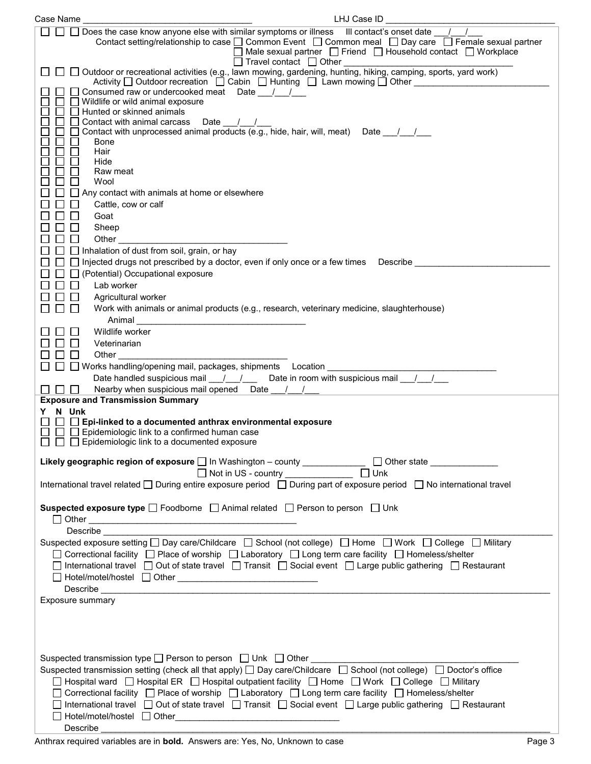| LHJ Case ID<br>Case Name                                                                                                                                                                                                                                                                                                                                                                                                                                                                                                                                                                                                                                                                                                             |  |  |  |
|--------------------------------------------------------------------------------------------------------------------------------------------------------------------------------------------------------------------------------------------------------------------------------------------------------------------------------------------------------------------------------------------------------------------------------------------------------------------------------------------------------------------------------------------------------------------------------------------------------------------------------------------------------------------------------------------------------------------------------------|--|--|--|
| $\Box$ Does the case know anyone else with similar symptoms or illness III contact's onset date $\Box$<br>Contact setting/relationship to case □ Common Event □ Common meal □ Day care □ Female sexual partner<br>$\Box$ Male sexual partner $\Box$ Friend $\Box$ Household contact $\Box$ Workplace<br>$\Box$ Travel contact $\Box$ Other                                                                                                                                                                                                                                                                                                                                                                                           |  |  |  |
| U Travel contact Dumer Other University camping, sports, yard work<br>Outdoor or recreational activities (e.g., lawn mowing, gardening, hunting, hiking, camping, sports, yard work)<br>Activity □ Outdoor recreation □ Cabin □ Hunting □ Lawn mowing □ Other _________________<br>Consumed raw or undercooked meat Date ///                                                                                                                                                                                                                                                                                                                                                                                                         |  |  |  |
| $\Box$ Wildlife or wild animal exposure<br>$\Box$ Hunted or skinned animals<br>Contact with animal carcass Date / /                                                                                                                                                                                                                                                                                                                                                                                                                                                                                                                                                                                                                  |  |  |  |
| Contact with unprocessed animal products (e.g., hide, hair, will, meat) Date 11<br>Bone                                                                                                                                                                                                                                                                                                                                                                                                                                                                                                                                                                                                                                              |  |  |  |
| Hair<br>Hide<br>Raw meat                                                                                                                                                                                                                                                                                                                                                                                                                                                                                                                                                                                                                                                                                                             |  |  |  |
| Wool<br>Any contact with animals at home or elsewhere<br>Cattle, cow or calf                                                                                                                                                                                                                                                                                                                                                                                                                                                                                                                                                                                                                                                         |  |  |  |
| Goat<br>Sheep                                                                                                                                                                                                                                                                                                                                                                                                                                                                                                                                                                                                                                                                                                                        |  |  |  |
| Other than the contract of the contract of the contract of the contract of the contract of the contract of the<br>$\Box$ Inhalation of dust from soil, grain, or hay<br>$\Box$ Injected drugs not prescribed by a doctor, even if only once or a few times Describe                                                                                                                                                                                                                                                                                                                                                                                                                                                                  |  |  |  |
| (Potential) Occupational exposure<br>Lab worker                                                                                                                                                                                                                                                                                                                                                                                                                                                                                                                                                                                                                                                                                      |  |  |  |
| Agricultural worker<br>Work with animals or animal products (e.g., research, veterinary medicine, slaughterhouse)                                                                                                                                                                                                                                                                                                                                                                                                                                                                                                                                                                                                                    |  |  |  |
| Wildlife worker<br>Veterinarian                                                                                                                                                                                                                                                                                                                                                                                                                                                                                                                                                                                                                                                                                                      |  |  |  |
| Other<br>Date handled suspicious mail $\frac{1}{1}$ / Date in room with suspicious mail $\frac{1}{1}$                                                                                                                                                                                                                                                                                                                                                                                                                                                                                                                                                                                                                                |  |  |  |
| Nearby when suspicious mail opened Date ///<br>1111                                                                                                                                                                                                                                                                                                                                                                                                                                                                                                                                                                                                                                                                                  |  |  |  |
| <b>Exposure and Transmission Summary</b><br>N Unk<br>Y                                                                                                                                                                                                                                                                                                                                                                                                                                                                                                                                                                                                                                                                               |  |  |  |
| $\Box$ Epi-linked to a documented anthrax environmental exposure<br>$\Box$ Epidemiologic link to a confirmed human case<br>$\Box$ Epidemiologic link to a documented exposure                                                                                                                                                                                                                                                                                                                                                                                                                                                                                                                                                        |  |  |  |
| Likely geographic region of exposure □ In Washington - county _____________ □ Other state __________<br>$\Box$ Unk<br>Not in US - country ______________                                                                                                                                                                                                                                                                                                                                                                                                                                                                                                                                                                             |  |  |  |
| International travel related □ During entire exposure period □ During part of exposure period □ No international travel                                                                                                                                                                                                                                                                                                                                                                                                                                                                                                                                                                                                              |  |  |  |
| <b>Suspected exposure type</b> $\Box$ Foodborne $\Box$ Animal related $\Box$ Person to person $\Box$ Unk                                                                                                                                                                                                                                                                                                                                                                                                                                                                                                                                                                                                                             |  |  |  |
| <b>Describe Describe</b><br>Suspected exposure setting □ Day care/Childcare □ School (not college) □ Home □ Work □ College □ Military                                                                                                                                                                                                                                                                                                                                                                                                                                                                                                                                                                                                |  |  |  |
| □ Correctional facility □ Place of worship □ Laboratory □ Long term care facility □ Homeless/shelter<br>□ International travel □ Out of state travel □ Transit □ Social event □ Large public gathering □ Restaurant<br>$\fbox{Hotel/motel/hostel} \fbox{Dther} \underline{\hbox{I\hskip -2pt Dther} \underline{\hbox{I\hskip -2pt Dler} \underline{\hbox{I\hskip -2pt Dler} \underline{\hbox{I\hskip -2pt Dler} \underline{\hbox{I\hskip -2pt Dler} \underline{\hbox{I\hskip -2pt Dlic} \underline{\hbox{I\hskip -2pt Dlic} \underline{\hbox{I\hskip -2pt Dlic} \underline{\hbox{I\hskip -2pt Dlic} \underline{\hbox{I\hskip -2pt Dlic} \underline{\hbox{I\hskip -2pt Dlic} \underline{\hbox{I\hskip -2pt Dlic} \underline{\hbox{I\$ |  |  |  |
| Exposure summary                                                                                                                                                                                                                                                                                                                                                                                                                                                                                                                                                                                                                                                                                                                     |  |  |  |
|                                                                                                                                                                                                                                                                                                                                                                                                                                                                                                                                                                                                                                                                                                                                      |  |  |  |
| Suspected transmission type □ Person to person □ Unk □ Other ___________________<br>Suspected transmission setting (check all that apply) $\Box$ Day care/Childcare $\Box$ School (not college) $\Box$ Doctor's office                                                                                                                                                                                                                                                                                                                                                                                                                                                                                                               |  |  |  |
| □ Hospital ward □ Hospital ER □ Hospital outpatient facility □ Home □ Work □ College □ Military<br>□ Correctional facility □ Place of worship □ Laboratory □ Long term care facility □ Homeless/shelter<br>□ International travel □ Out of state travel □ Transit □ Social event □ Large public gathering □ Restaurant                                                                                                                                                                                                                                                                                                                                                                                                               |  |  |  |
| Describe                                                                                                                                                                                                                                                                                                                                                                                                                                                                                                                                                                                                                                                                                                                             |  |  |  |